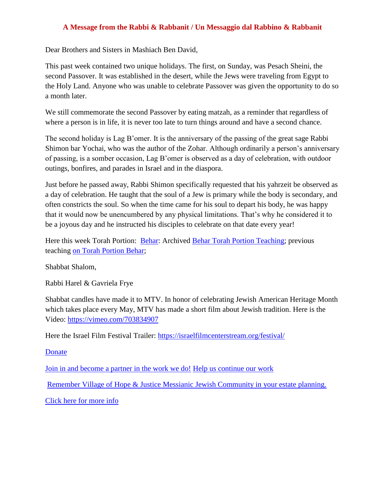## **A Message from the Rabbi & Rabbanit / Un Messaggio dal Rabbino & Rabbanit**

Dear Brothers and Sisters in Mashiach Ben David,

This past week contained two unique holidays. The first, on Sunday, was Pesach Sheini, the second Passover. It was established in the desert, while the Jews were traveling from Egypt to the Holy Land. Anyone who was unable to celebrate Passover was given the opportunity to do so a month later.

We still commemorate the second Passover by eating matzah, as a reminder that regardless of where a person is in life, it is never too late to turn things around and have a second chance.

The second holiday is Lag B'omer. It is the anniversary of the passing of the great sage Rabbi Shimon bar Yochai, who was the author of the Zohar. Although ordinarily a person's anniversary of passing, is a somber occasion, Lag B'omer is observed as a day of celebration, with outdoor outings, bonfires, and parades in Israel and in the diaspora.

Just before he passed away, Rabbi Shimon specifically requested that his yahrzeit be observed as a day of celebration. He taught that the soul of a Jew is primary while the body is secondary, and often constricts the soul. So when the time came for his soul to depart his body, he was happy that it would now be unencumbered by any physical limitations. That's why he considered it to be a joyous day and he instructed his disciples to celebrate on that date every year!

Here this week Torah Portion: [Behar:](https://villageofhopejusticeministry.org/2019/07/13/torah-portion-behar-porzione-di-torah-behar/) Archived [Behar Torah Portion Teaching;](https://youtu.be/8L1FBHYF6M8) previous teaching [on Torah Portion Behar;](https://youtu.be/dsjj6nefbxc)

Shabbat Shalom,

Rabbi Harel & Gavriela Frye

Shabbat candles have made it to MTV. In honor of celebrating Jewish American Heritage Month which takes place every May, MTV has made a short film about Jewish tradition. Here is the Video:<https://vimeo.com/703834907>

Here the Israel Film Festival Trailer: <https://israelfilmcenterstream.org/festival/>

[Donate](https://villageofhopejusticeministry.org/donation-donazione/)

[Join in and become a partner in the work we do!](https://villageofhopejusticeministry.org/donation-donazione/) [Help us continue our work](https://villageofhopejusticeministry.org/donation-donazione/)

Remember Village of Hope & Justice [Messianic Jewish Community in your estate planning.](https://villageofhopejusticeministry.org/donation-donazione/)

[Click here for more info](https://villageofhopejusticeministry.org/donation-donazione/)